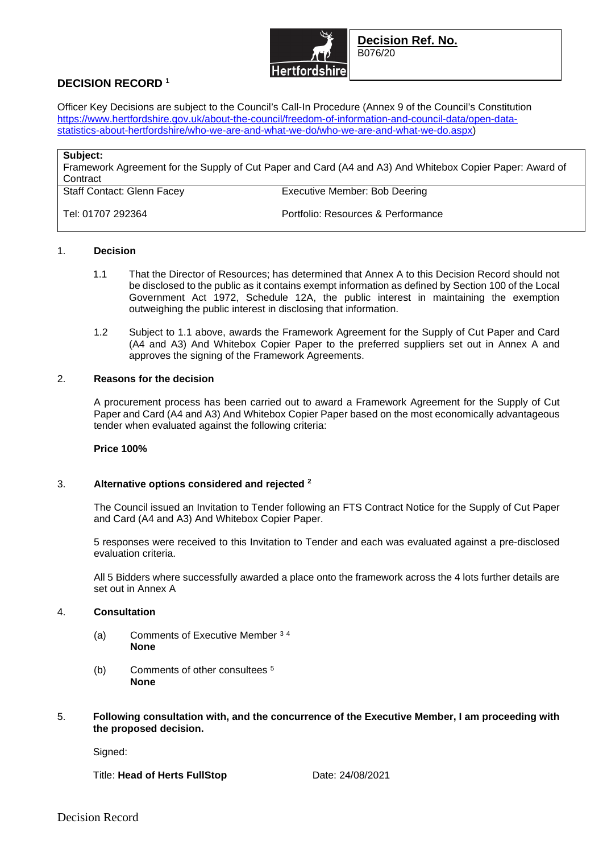

**Decision Ref. No.**  B076/20

# **DECISION RECORD <sup>1</sup>**

Officer Key Decisions are subject to the Council's Call-In Procedure (Annex 9 of the Council's Constitution https://www.hertfordshire.gov.uk/about-the-council/freedom-of-information-and-council-data/open-datastatistics-about-hertfordshire/who-we-are-and-what-we-do/who-we-are-and-what-we-do.aspx)

| Subject:<br>Framework Agreement for the Supply of Cut Paper and Card (A4 and A3) And Whitebox Copier Paper: Award of<br>Contract |                                    |
|----------------------------------------------------------------------------------------------------------------------------------|------------------------------------|
| <b>Staff Contact: Glenn Facey</b>                                                                                                | Executive Member: Bob Deering      |
| Tel: 01707 292364                                                                                                                | Portfolio: Resources & Performance |

## 1. **Decision**

- 1.1 That the Director of Resources; has determined that Annex A to this Decision Record should not be disclosed to the public as it contains exempt information as defined by Section 100 of the Local Government Act 1972, Schedule 12A, the public interest in maintaining the exemption outweighing the public interest in disclosing that information.
- 1.2 Subject to 1.1 above, awards the Framework Agreement for the Supply of Cut Paper and Card (A4 and A3) And Whitebox Copier Paper to the preferred suppliers set out in Annex A and approves the signing of the Framework Agreements.

## 2. **Reasons for the decision**

A procurement process has been carried out to award a Framework Agreement for the Supply of Cut Paper and Card (A4 and A3) And Whitebox Copier Paper based on the most economically advantageous tender when evaluated against the following criteria:

#### **Price 100%**

# 3. **Alternative options considered and rejected <sup>2</sup>**

The Council issued an Invitation to Tender following an FTS Contract Notice for the Supply of Cut Paper and Card (A4 and A3) And Whitebox Copier Paper.

5 responses were received to this Invitation to Tender and each was evaluated against a pre-disclosed evaluation criteria.

All 5 Bidders where successfully awarded a place onto the framework across the 4 lots further details are set out in Annex A

#### 4. **Consultation**

- (a) Comments of Executive Member <sup>3</sup> <sup>4</sup> **None**
- (b) Comments of other consultees <sup>5</sup> **None**
- 5. **Following consultation with, and the concurrence of the Executive Member, I am proceeding with the proposed decision.**

Signed:

Title: **Head of Herts FullStop** Date: 24/08/2021